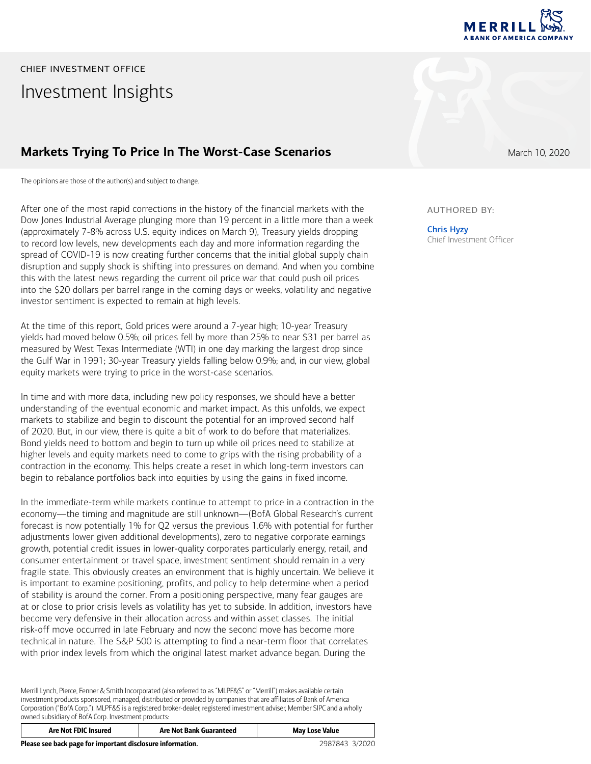

# Investment Insights CHIEF INVESTMENT OFFICE

### **Markets Trying To Price In The Worst-Case Scenarios March 10, 2020 March 10, 2020**

The opinions are those of the author(s) and subject to change.

After one of the most rapid corrections in the history of the financial markets with the Dow Jones Industrial Average plunging more than 19 percent in a little more than a week (approximately 7-8% across U.S. equity indices on March 9), Treasury yields dropping to record low levels, new developments each day and more information regarding the spread of COVID-19 is now creating further concerns that the initial global supply chain disruption and supply shock is shifting into pressures on demand. And when you combine this with the latest news regarding the current oil price war that could push oil prices into the \$20 dollars per barrel range in the coming days or weeks, volatility and negative investor sentiment is expected to remain at high levels.

At the time of this report, Gold prices were around a 7-year high; 10-year Treasury yields had moved below 0.5%; oil prices fell by more than 25% to near \$31 per barrel as measured by West Texas Intermediate (WTI) in one day marking the largest drop since the Gulf War in 1991; 30-year Treasury yields falling below 0.9%; and, in our view, global equity markets were trying to price in the worst-case scenarios.

In time and with more data, including new policy responses, we should have a better understanding of the eventual economic and market impact. As this unfolds, we expect markets to stabilize and begin to discount the potential for an improved second half of 2020. But, in our view, there is quite a bit of work to do before that materializes. Bond yields need to bottom and begin to turn up while oil prices need to stabilize at higher levels and equity markets need to come to grips with the rising probability of a contraction in the economy. This helps create a reset in which long-term investors can begin to rebalance portfolios back into equities by using the gains in fixed income.

In the immediate-term while markets continue to attempt to price in a contraction in the economy―the timing and magnitude are still unknown―(BofA Global Research's current forecast is now potentially 1% for Q2 versus the previous 1.6% with potential for further adjustments lower given additional developments), zero to negative corporate earnings growth, potential credit issues in lower-quality corporates particularly energy, retail, and consumer entertainment or travel space, investment sentiment should remain in a very fragile state. This obviously creates an environment that is highly uncertain. We believe it is important to examine positioning, profits, and policy to help determine when a period of stability is around the corner. From a positioning perspective, many fear gauges are at or close to prior crisis levels as volatility has yet to subside. In addition, investors have become very defensive in their allocation across and within asset classes. The initial risk-off move occurred in late February and now the second move has become more technical in nature. The S&P 500 is attempting to find a near-term floor that correlates with prior index levels from which the original latest market advance began. During the

Merrill Lynch, Pierce, Fenner & Smith Incorporated (also referred to as "MLPF&S" or "Merrill") makes available certain investment products sponsored, managed, distributed or provided by companies that are affiliates of Bank of America Corporation ("BofA Corp."). MLPF&S is a registered broker-dealer, registered investment adviser, Member SIPC and a wholly owned subsidiary of BofA Corp. Investment products:

| Are Not FDIC Insured                                       | <b>Are Not Bank Guaranteed</b> | May Lose Value |
|------------------------------------------------------------|--------------------------------|----------------|
| Please see back page for important disclosure information. |                                | 2987843 3/2020 |

### AUTHORED BY:

Chris Hyzy Chief Investment Officer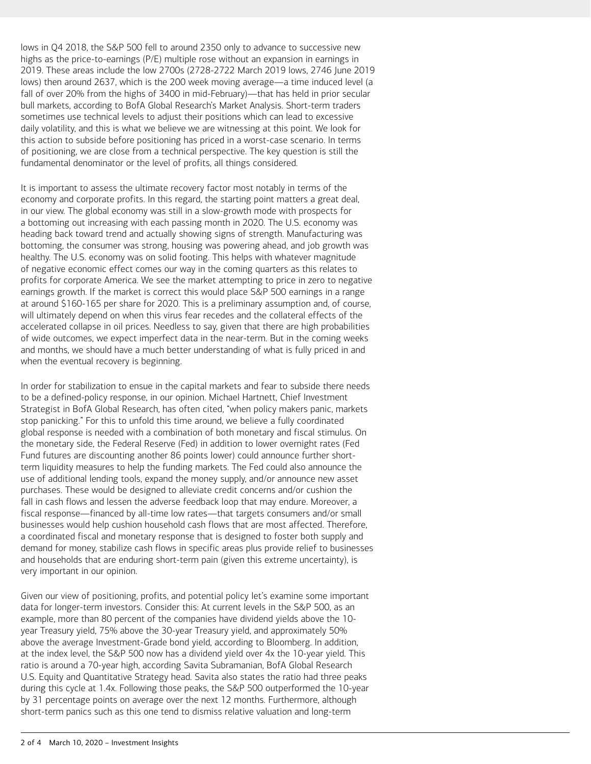lows in Q4 2018, the S&P 500 fell to around 2350 only to advance to successive new highs as the price-to-earnings (P/E) multiple rose without an expansion in earnings in 2019. These areas include the low 2700s (2728-2722 March 2019 lows, 2746 June 2019 lows) then around 2637, which is the 200 week moving average―a time induced level (a fall of over 20% from the highs of 3400 in mid-February)—that has held in prior secular bull markets, according to BofA Global Research's Market Analysis. Short-term traders sometimes use technical levels to adjust their positions which can lead to excessive daily volatility, and this is what we believe we are witnessing at this point. We look for this action to subside before positioning has priced in a worst-case scenario. In terms of positioning, we are close from a technical perspective. The key question is still the fundamental denominator or the level of profits, all things considered.

It is important to assess the ultimate recovery factor most notably in terms of the economy and corporate profits. In this regard, the starting point matters a great deal, in our view. The global economy was still in a slow-growth mode with prospects for a bottoming out increasing with each passing month in 2020. The U.S. economy was heading back toward trend and actually showing signs of strength. Manufacturing was bottoming, the consumer was strong, housing was powering ahead, and job growth was healthy. The U.S. economy was on solid footing. This helps with whatever magnitude of negative economic effect comes our way in the coming quarters as this relates to profits for corporate America. We see the market attempting to price in zero to negative earnings growth. If the market is correct this would place S&P 500 earnings in a range at around \$160-165 per share for 2020. This is a preliminary assumption and, of course, will ultimately depend on when this virus fear recedes and the collateral effects of the accelerated collapse in oil prices. Needless to say, given that there are high probabilities of wide outcomes, we expect imperfect data in the near-term. But in the coming weeks and months, we should have a much better understanding of what is fully priced in and when the eventual recovery is beginning.

In order for stabilization to ensue in the capital markets and fear to subside there needs to be a defined-policy response, in our opinion. Michael Hartnett, Chief Investment Strategist in BofA Global Research, has often cited, "when policy makers panic, markets stop panicking." For this to unfold this time around, we believe a fully coordinated global response is needed with a combination of both monetary and fiscal stimulus. On the monetary side, the Federal Reserve (Fed) in addition to lower overnight rates (Fed Fund futures are discounting another 86 points lower) could announce further shortterm liquidity measures to help the funding markets. The Fed could also announce the use of additional lending tools, expand the money supply, and/or announce new asset purchases. These would be designed to alleviate credit concerns and/or cushion the fall in cash flows and lessen the adverse feedback loop that may endure. Moreover, a fiscal response―financed by all-time low rates―that targets consumers and/or small businesses would help cushion household cash flows that are most affected. Therefore, a coordinated fiscal and monetary response that is designed to foster both supply and demand for money, stabilize cash flows in specific areas plus provide relief to businesses and households that are enduring short-term pain (given this extreme uncertainty), is very important in our opinion.

Given our view of positioning, profits, and potential policy let's examine some important data for longer-term investors. Consider this: At current levels in the S&P 500, as an example, more than 80 percent of the companies have dividend yields above the 10 year Treasury yield, 75% above the 30-year Treasury yield, and approximately 50% above the average Investment-Grade bond yield, according to Bloomberg. In addition, at the index level, the S&P 500 now has a dividend yield over 4x the 10-year yield. This ratio is around a 70-year high, according Savita Subramanian, BofA Global Research U.S. Equity and Quantitative Strategy head. Savita also states the ratio had three peaks during this cycle at 1.4x. Following those peaks, the S&P 500 outperformed the 10-year by 31 percentage points on average over the next 12 months. Furthermore, although short-term panics such as this one tend to dismiss relative valuation and long-term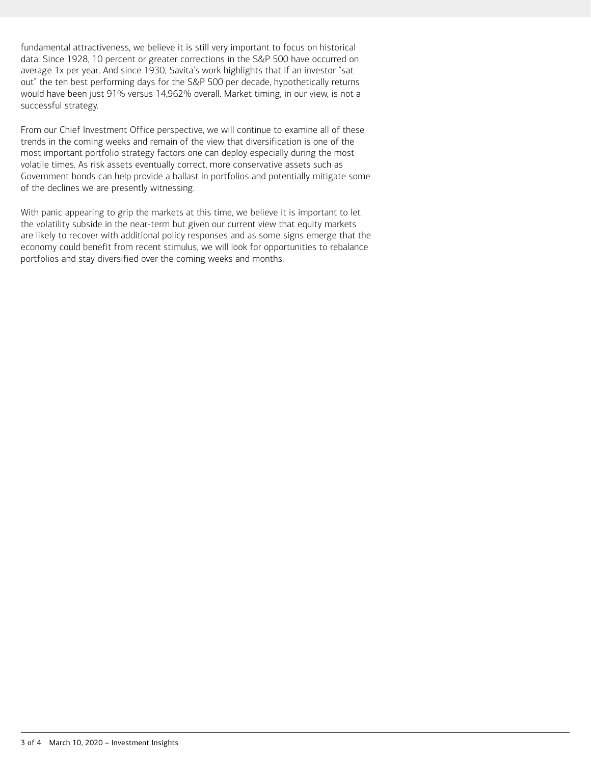fundamental attractiveness, we believe it is still very important to focus on historical data. Since 1928, 10 percent or greater corrections in the S&P 500 have occurred on average 1x per year. And since 1930, Savita's work highlights that if an investor "sat out" the ten best performing days for the S&P 500 per decade, hypothetically returns would have been just 91% versus 14,962% overall. Market timing, in our view, is not a successful strategy.

From our Chief Investment Office perspective, we will continue to examine all of these trends in the coming weeks and remain of the view that diversification is one of the most important portfolio strategy factors one can deploy especially during the most volatile times. As risk assets eventually correct, more conservative assets such as Government bonds can help provide a ballast in portfolios and potentially mitigate some of the declines we are presently witnessing.

With panic appearing to grip the markets at this time, we believe it is important to let the volatility subside in the near-term but given our current view that equity markets are likely to recover with additional policy responses and as some signs emerge that the economy could benefit from recent stimulus, we will look for opportunities to rebalance portfolios and stay diversified over the coming weeks and months.